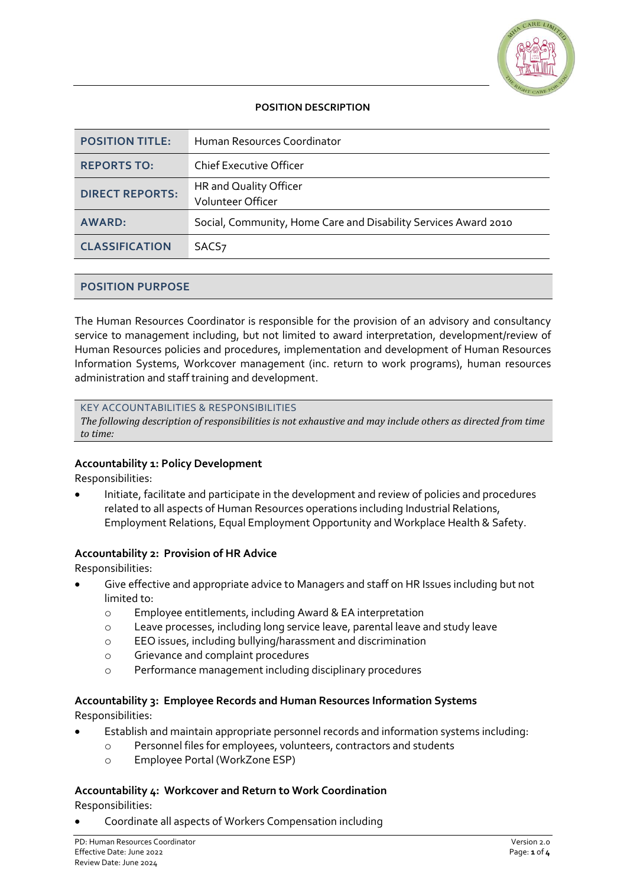

# **POSITION DESCRIPTION**

| <b>POSITION TITLE:</b> | Human Resources Coordinator                                     |
|------------------------|-----------------------------------------------------------------|
| <b>REPORTS TO:</b>     | <b>Chief Executive Officer</b>                                  |
| <b>DIRECT REPORTS:</b> | HR and Quality Officer<br><b>Volunteer Officer</b>              |
| <b>AWARD:</b>          | Social, Community, Home Care and Disability Services Award 2010 |
| <b>CLASSIFICATION</b>  | SACS <sub>7</sub>                                               |

## **POSITION PURPOSE**

The Human Resources Coordinator is responsible for the provision of an advisory and consultancy service to management including, but not limited to award interpretation, development/review of Human Resources policies and procedures, implementation and development of Human Resources Information Systems, Workcover management (inc. return to work programs), human resources administration and staff training and development.

#### KEY ACCOUNTABILITIES & RESPONSIBILITIES

*The following description of responsibilities is not exhaustive and may include others as directed from time to time:*

#### **Accountability 1: Policy Development**

Responsibilities:

• Initiate, facilitate and participate in the development and review of policies and procedures related to all aspects of Human Resources operations including Industrial Relations, Employment Relations, Equal Employment Opportunity and Workplace Health & Safety.

#### **Accountability 2: Provision of HR Advice**

Responsibilities:

- Give effective and appropriate advice to Managers and staff on HR Issues including but not limited to:
	- o Employee entitlements, including Award & EA interpretation
	- o Leave processes, including long service leave, parental leave and study leave
	- o EEO issues, including bullying/harassment and discrimination
	- o Grievance and complaint procedures
	- o Performance management including disciplinary procedures

# **Accountability 3: Employee Records and Human Resources Information Systems**

Responsibilities:

- Establish and maintain appropriate personnel records and information systems including:
	- o Personnel files for employees, volunteers, contractors and students
	- o Employee Portal (WorkZone ESP)

#### **Accountability 4: Workcover and Return to Work Coordination**

Responsibilities:

• Coordinate all aspects of Workers Compensation including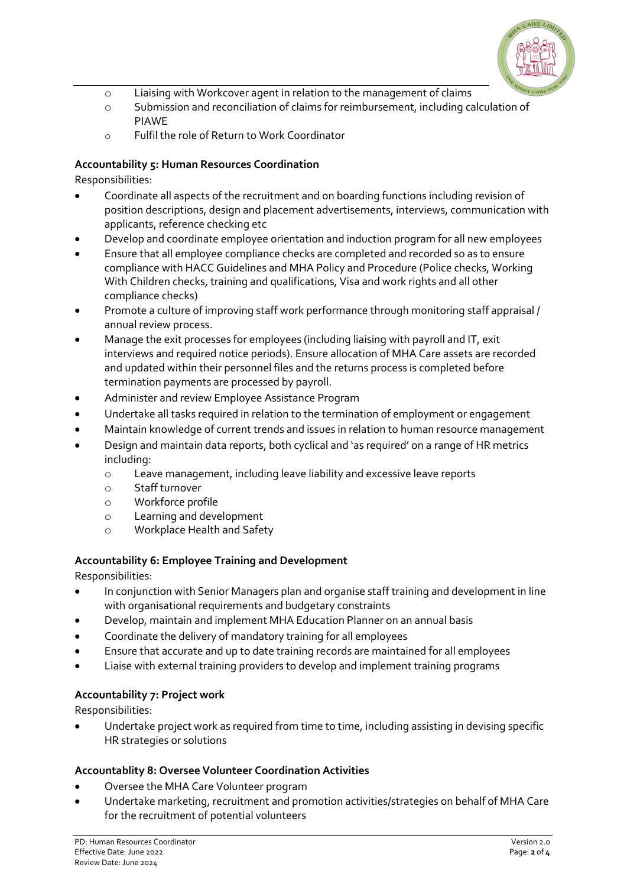

- o Liaising with Workcover agent in relation to the management of claims
- o Submission and reconciliation of claims for reimbursement, including calculation of PIAWE
- o Fulfil the role of Return to Work Coordinator

# **Accountability 5: Human Resources Coordination**

Responsibilities:

- Coordinate all aspects of the recruitment and on boarding functions including revision of position descriptions, design and placement advertisements, interviews, communication with applicants, reference checking etc
- Develop and coordinate employee orientation and induction program for all new employees
- Ensure that all employee compliance checks are completed and recorded so as to ensure compliance with HACC Guidelines and MHA Policy and Procedure (Police checks, Working With Children checks, training and qualifications, Visa and work rights and all other compliance checks)
- Promote a culture of improving staff work performance through monitoring staff appraisal / annual review process.
- Manage the exit processes for employees (including liaising with payroll and IT, exit interviews and required notice periods). Ensure allocation of MHA Care assets are recorded and updated within their personnel files and the returns process is completed before termination payments are processed by payroll.
- Administer and review Employee Assistance Program
- Undertake all tasks required in relation to the termination of employment or engagement
- Maintain knowledge of current trends and issues in relation to human resource management
- Design and maintain data reports, both cyclical and 'as required' on a range of HR metrics including:
	- o Leave management, including leave liability and excessive leave reports
	- o Staff turnover
	- o Workforce profile
	- o Learning and development
	- o Workplace Health and Safety

# **Accountability 6: Employee Training and Development**

Responsibilities:

- In conjunction with Senior Managers plan and organise staff training and development in line with organisational requirements and budgetary constraints
- Develop, maintain and implement MHA Education Planner on an annual basis
- Coordinate the delivery of mandatory training for all employees
- Ensure that accurate and up to date training records are maintained for all employees
- Liaise with external training providers to develop and implement training programs

# **Accountability 7: Project work**

Responsibilities:

• Undertake project work as required from time to time, including assisting in devising specific HR strategies or solutions

# **Accountablity 8: Oversee Volunteer Coordination Activities**

- Oversee the MHA Care Volunteer program
- Undertake marketing, recruitment and promotion activities/strategies on behalf of MHA Care for the recruitment of potential volunteers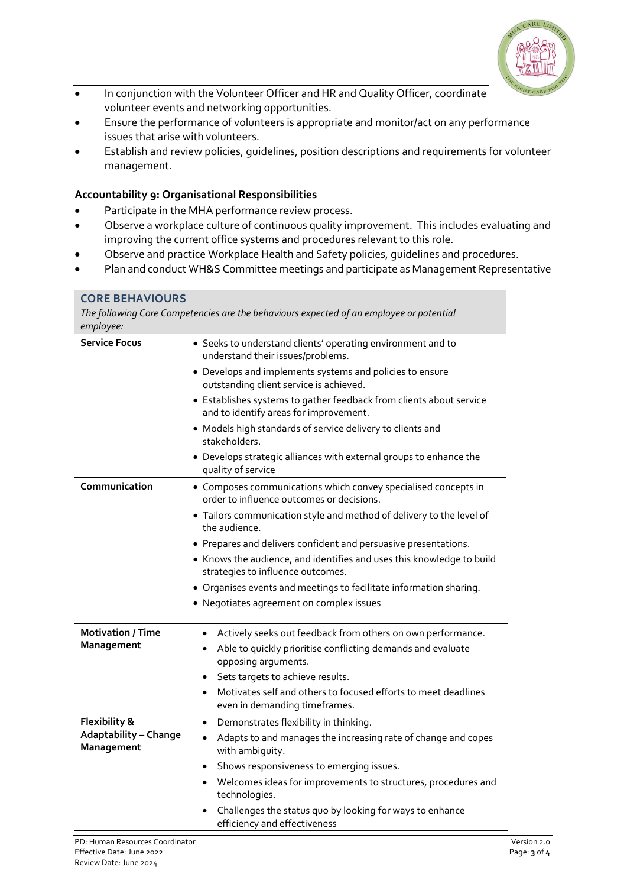

- In conjunction with the Volunteer Officer and HR and Quality Officer, coordinate volunteer events and networking opportunities.
- Ensure the performance of volunteers is appropriate and monitor/act on any performance issues that arise with volunteers.
- Establish and review policies, guidelines, position descriptions and requirements for volunteer management.

# **Accountability 9: Organisational Responsibilities**

- Participate in the MHA performance review process.
- Observe a workplace culture of continuous quality improvement. This includes evaluating and improving the current office systems and procedures relevant to this role.
- Observe and practice Workplace Health and Safety policies, guidelines and procedures.
- Plan and conduct WH&S Committee meetings and participate as Management Representative

| <b>CORE BEHAVIOURS</b><br>The following Core Competencies are the behaviours expected of an employee or potential<br>employee: |                                                                                                               |  |
|--------------------------------------------------------------------------------------------------------------------------------|---------------------------------------------------------------------------------------------------------------|--|
| <b>Service Focus</b>                                                                                                           | • Seeks to understand clients' operating environment and to<br>understand their issues/problems.              |  |
|                                                                                                                                | • Develops and implements systems and policies to ensure<br>outstanding client service is achieved.           |  |
|                                                                                                                                | • Establishes systems to gather feedback from clients about service<br>and to identify areas for improvement. |  |
|                                                                                                                                | • Models high standards of service delivery to clients and<br>stakeholders.                                   |  |
|                                                                                                                                | • Develops strategic alliances with external groups to enhance the<br>quality of service                      |  |
| Communication                                                                                                                  | • Composes communications which convey specialised concepts in<br>order to influence outcomes or decisions.   |  |
|                                                                                                                                | • Tailors communication style and method of delivery to the level of<br>the audience.                         |  |
|                                                                                                                                | • Prepares and delivers confident and persuasive presentations.                                               |  |
|                                                                                                                                | • Knows the audience, and identifies and uses this knowledge to build<br>strategies to influence outcomes.    |  |
|                                                                                                                                | • Organises events and meetings to facilitate information sharing.                                            |  |
|                                                                                                                                | • Negotiates agreement on complex issues                                                                      |  |
| <b>Motivation / Time</b><br>Management                                                                                         | Actively seeks out feedback from others on own performance.                                                   |  |
|                                                                                                                                | Able to quickly prioritise conflicting demands and evaluate<br>opposing arguments.                            |  |
|                                                                                                                                | Sets targets to achieve results.<br>$\bullet$                                                                 |  |
|                                                                                                                                | Motivates self and others to focused efforts to meet deadlines<br>$\bullet$<br>even in demanding timeframes.  |  |
| Flexibility &<br><b>Adaptability - Change</b><br>Management                                                                    | Demonstrates flexibility in thinking.<br>$\bullet$                                                            |  |
|                                                                                                                                | Adapts to and manages the increasing rate of change and copes<br>with ambiguity.                              |  |
|                                                                                                                                | Shows responsiveness to emerging issues.<br>$\bullet$                                                         |  |
|                                                                                                                                | Welcomes ideas for improvements to structures, procedures and<br>technologies.                                |  |
|                                                                                                                                | Challenges the status quo by looking for ways to enhance<br>efficiency and effectiveness                      |  |